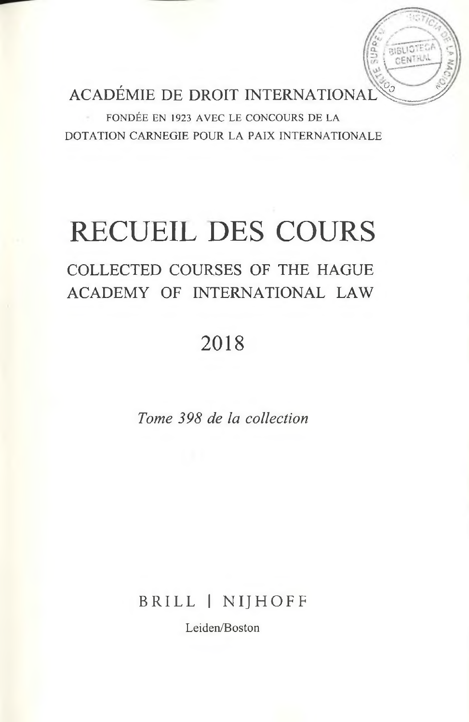ACADÉMIE DE DROIT INTERNATIONAL

**RIBLIOTE** ENTHA

FONDÉE EN 1923 AVEC LE CONCOURS DE LA DOTATION CARNEGIE POUR LA PAIX INTERNATIONALE

# RECUEIL DES COURS

### COLLECTED COURSES OF THE HAGUE ACADEMY OF INTERNATIONAL LAW

## 2018

*Tome 398 de la collection*

BRILL | NIJHOFF

Leiden/Boston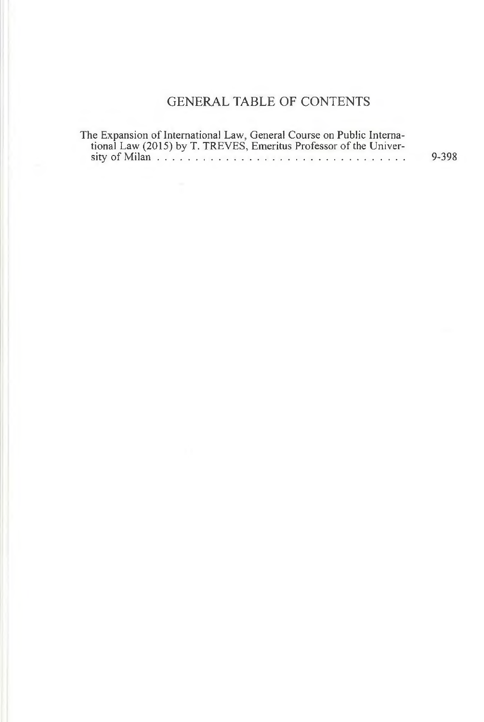#### GENERAL TABLE OF CONTENTS

| The Expansion of International Law, General Course on Public Interna- |       |
|-----------------------------------------------------------------------|-------|
| tional Law (2015) by T. TREVES, Emeritus Professor of the Univer-     |       |
|                                                                       | 9-398 |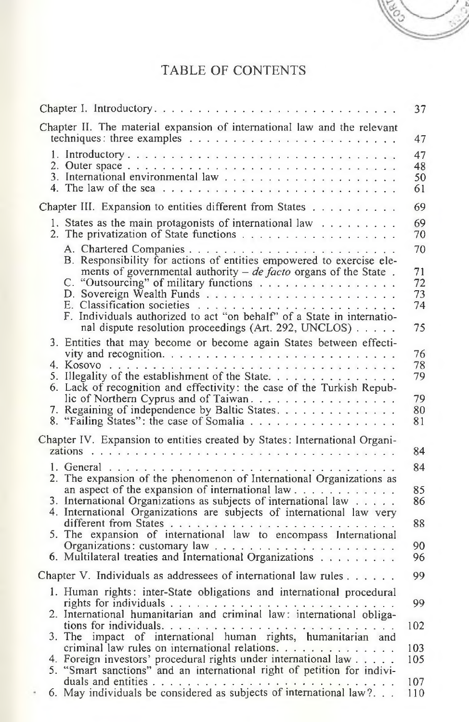#### TABLE OF CONTENTS

es.

|                                                                                                                                                                                                                                              | 37                               |
|----------------------------------------------------------------------------------------------------------------------------------------------------------------------------------------------------------------------------------------------|----------------------------------|
| Chapter II. The material expansion of international law and the relevant                                                                                                                                                                     | 47                               |
|                                                                                                                                                                                                                                              | 47<br>48<br>50<br>61             |
| Chapter III. Expansion to entities different from States                                                                                                                                                                                     | 69                               |
| 1. States as the main protagonists of international law                                                                                                                                                                                      | 69<br>70                         |
| B. Responsibility for actions of entities empowered to exercise ele-<br>ments of governmental authority $-$ de facto organs of the State.<br>C. "Outsourcing" of military functions<br>nal dispute resolution proceedings (Art. 292, UNCLOS) | 70<br>71<br>72<br>73<br>74<br>75 |
| 3. Entities that may become or become again States between effecti-<br>6. Lack of recognition and effectivity: the case of the Turkish Repub-<br>lic of Northern Cyprus and of Taiwan.<br>Regaining of independence by Baltic States.<br>7.  | 76<br>78<br>79<br>79<br>80       |
| 8. "Failing States": the case of Somalia<br>Chapter IV. Expansion to entities created by States: International Organi-                                                                                                                       | 81<br>84                         |
|                                                                                                                                                                                                                                              | 84                               |
| 2. The expansion of the phenomenon of International Organizations as<br>an aspect of the expansion of international law<br>3. International Organizations as subjects of international law                                                   | 85<br>86                         |
| 4. International Organizations are subjects of international law very                                                                                                                                                                        | 88                               |
| 6. Multilateral treaties and International Organizations                                                                                                                                                                                     | 90.<br>96                        |
| Chapter V. Individuals as addressees of international law rules $\dots$                                                                                                                                                                      | 99                               |
| 1. Human rights: inter-State obligations and international procedural                                                                                                                                                                        | 99                               |
| criminal law rules on international relations.<br>4. Foreign investors' procedural rights under international law $\dots$ .<br>5. "Smart sanctions" and an international right of petition for indivi-                                       | 102<br>103<br>105                |
| 6. May individuals be considered as subjects of international law?                                                                                                                                                                           | 107<br>110                       |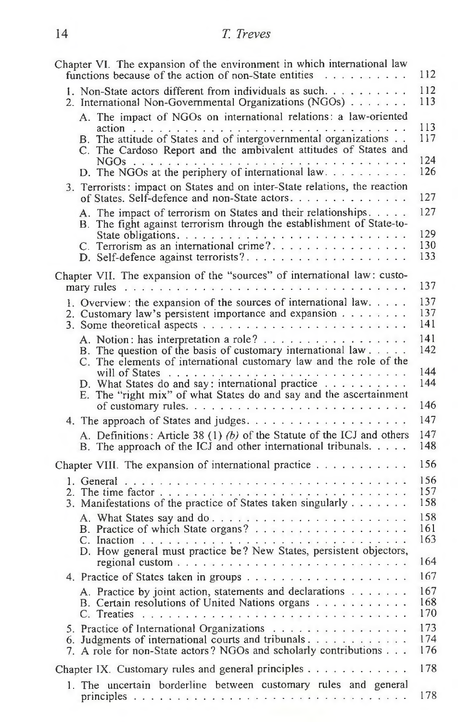| Chapter VI. The expansion of the environment in which international law<br>functions because of the action of non-State entities                                                                         | 112               |
|----------------------------------------------------------------------------------------------------------------------------------------------------------------------------------------------------------|-------------------|
| 1. Non-State actors different from individuals as such.<br>2. International Non-Governmental Organizations (NGOs)                                                                                        | 112<br>113        |
| A. The impact of NGOs on international relations: a law-oriented<br>B. The attitude of States and of intergovernmental organizations<br>C. The Cardoso Report and the ambivalent attitudes of States and | 113<br>117        |
|                                                                                                                                                                                                          | 124<br>126        |
| 3. Terrorists: impact on States and on inter-State relations, the reaction<br>of States. Self-defence and non-State actors.                                                                              | 127               |
| A. The impact of terrorism on States and their relationships.<br>B. The fight against terrorism through the establishment of State-to-                                                                   | 127               |
| C. Terrorism as an international crime?                                                                                                                                                                  | 129<br>130<br>133 |
| Chapter VII. The expansion of the "sources" of international law: custo-                                                                                                                                 | 137               |
|                                                                                                                                                                                                          |                   |
| 1. Overview: the expansion of the sources of international law. $\ldots$ .<br>2. Customary law's persistent importance and expansion                                                                     | 137<br>137        |
|                                                                                                                                                                                                          | 141               |
| A. Notion: has interpretation a role?<br>B. The question of the basis of customary international law<br>C. The elements of international customary law and the role of the                               | 141<br>142        |
| D. What States do and say: international practice<br>E. The "right mix" of what States do and say and the ascertainment                                                                                  | 144<br>144        |
|                                                                                                                                                                                                          | 146               |
|                                                                                                                                                                                                          | 147               |
| A. Definitions: Article 38 (1) $(b)$ of the Statute of the ICJ and others<br>B. The approach of the ICJ and other international tribunals.                                                               | 147<br>148        |
| Chapter VIII. The expansion of international practice                                                                                                                                                    | 156               |
| 3. Manifestations of the practice of States taken singularly                                                                                                                                             | 156<br>157<br>158 |
| B. Practice of which State organs?<br>D. How general must practice be? New States, persistent objectors,                                                                                                 | 158<br>161<br>163 |
|                                                                                                                                                                                                          | 164               |
|                                                                                                                                                                                                          | 167               |
| A. Practice by joint action, statements and declarations<br>B. Certain resolutions of United Nations organs                                                                                              | 167<br>168<br>170 |
| 5. Practice of International Organizations                                                                                                                                                               | 173               |
| 6. Judgments of international courts and tribunals<br>7. A role for non-State actors? NGOs and scholarly contributions                                                                                   | 174<br>176        |
| Chapter IX. Customary rules and general principles                                                                                                                                                       | 178               |
| 1. The uncertain borderline between customary rules and general                                                                                                                                          |                   |
|                                                                                                                                                                                                          | 178               |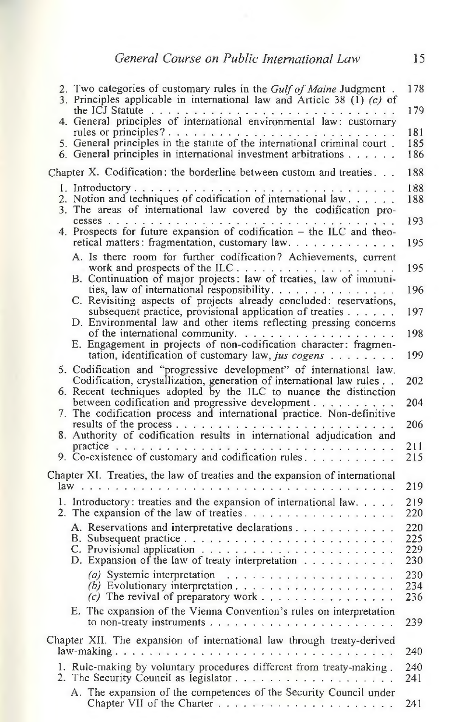<span id="page-4-0"></span>

| 2. Two categories of customary rules in the Gulf of Maine Judgment.<br>3. Principles applicable in international law and Article 38 (1) $(c)$ of                                                | 178               |
|-------------------------------------------------------------------------------------------------------------------------------------------------------------------------------------------------|-------------------|
| the ICJ Statute $\ldots$ , $\ldots$ , $\ldots$ , $\ldots$ , $\ldots$ , $\ldots$ , $\ldots$ , $\ldots$<br>4. General principles of international environmental law: customary                    | 179               |
| rules or principles?                                                                                                                                                                            | 181               |
| 5. General principles in the statute of the international criminal court.<br>6. General principles in international investment arbitrations                                                     | 185<br>186        |
| Chapter X. Codification: the borderline between custom and treaties                                                                                                                             | 188               |
|                                                                                                                                                                                                 | 188               |
| 2. Notion and techniques of codification of international law<br>3. The areas of international law covered by the codification pro-                                                             | 188               |
| 4. Prospects for future expansion of codification - the ILC and theo-<br>retical matters: fragmentation, customary law.                                                                         | 193<br>195        |
| A. Is there room for further codification? Achievements, current                                                                                                                                |                   |
|                                                                                                                                                                                                 | 195               |
| ties, law of international responsibility.<br>C. Revisiting aspects of projects already concluded: reservations,                                                                                | 196               |
| subsequent practice, provisional application of treaties $\dots \dots$<br>D. Environmental law and other items reflecting pressing concerns                                                     | 197               |
| E. Engagement in projects of non-codification character: fragmen-                                                                                                                               | 198               |
| tation, identification of customary law, jus cogens                                                                                                                                             | 199               |
| 5. Codification and "progressive development" of international law.<br>Codification, crystallization, generation of international law rules                                                     | 202               |
| 6. Recent techniques adopted by the ILC to nuance the distinction<br>between codification and progressive development<br>7. The codification process and international practice. Non-definitive | 204               |
| 8. Authority of codification results in international adjudication and                                                                                                                          | 206               |
|                                                                                                                                                                                                 | 211<br>215        |
| 9. Co-existence of customary and codification rules. $\ldots$                                                                                                                                   |                   |
| Chapter XI. Treaties, the law of treaties and the expansion of international                                                                                                                    | 219               |
| 1. Introductory: treaties and the expansion of international law.                                                                                                                               | 219               |
|                                                                                                                                                                                                 | 220               |
| A. Reservations and interpretative declarations                                                                                                                                                 | 220<br>225        |
|                                                                                                                                                                                                 | 229               |
| D. Expansion of the law of treaty interpretation $\ldots$                                                                                                                                       | 230               |
| (c) The revival of preparatory work                                                                                                                                                             | 230<br>234<br>236 |
| E. The expansion of the Vienna Convention's rules on interpretation                                                                                                                             |                   |
|                                                                                                                                                                                                 | 239               |
| Chapter XII. The expansion of international law through treaty-derived                                                                                                                          |                   |
|                                                                                                                                                                                                 | 240               |
| 1. Rule-making by voluntary procedures different from treaty-making.                                                                                                                            | 240<br>241        |
| A. The expansion of the competences of the Security Council under                                                                                                                               | 241               |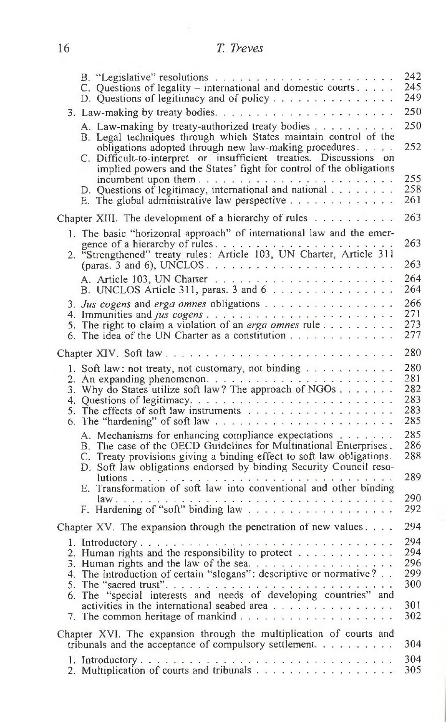| 16 | T. Treves |
|----|-----------|
|    |           |

|                                                                                                                                                                                                                                                     | 242<br>245<br>249 |
|-----------------------------------------------------------------------------------------------------------------------------------------------------------------------------------------------------------------------------------------------------|-------------------|
| 3. Law-making by treaty bodies. $\dots \dots \dots \dots \dots \dots \dots \dots$                                                                                                                                                                   | 250               |
| A. Law-making by treaty-authorized treaty bodies<br>B. Legal techniques through which States maintain control of the<br>obligations adopted through new law-making procedures<br>C. Difficult-to-interpret or insufficient treaties. Discussions on | 250<br>252        |
| implied powers and the States' fight for control of the obligations<br>D. Questions of legitimacy, international and national<br>E. The global administrative law perspective $\ldots$                                                              | 255<br>258<br>261 |
| Chapter XIII. The development of a hierarchy of rules $\dots \dots \dots$                                                                                                                                                                           | 263               |
| 1. The basic "horizontal approach" of international law and the emer-<br>2.                                                                                                                                                                         | 263               |
|                                                                                                                                                                                                                                                     | 263               |
|                                                                                                                                                                                                                                                     | 264<br>264        |
|                                                                                                                                                                                                                                                     | 266               |
| 5. The right to claim a violation of an erga omnes rule                                                                                                                                                                                             | 271<br>273        |
|                                                                                                                                                                                                                                                     | 277               |
|                                                                                                                                                                                                                                                     | 280               |
| 1. Soft law: not treaty, not customary, not binding $\dots \dots \dots$                                                                                                                                                                             | 280<br>281        |
| 3. Why do States utilize soft law? The approach of NGOs                                                                                                                                                                                             | 282               |
|                                                                                                                                                                                                                                                     | 283               |
|                                                                                                                                                                                                                                                     | 283<br>285        |
| A. Mechanisms for enhancing compliance expectations                                                                                                                                                                                                 | 285               |
| B. The case of the OECD Guidelines for Multinational Enterprises.<br>C. Treaty provisions giving a binding effect to soft law obligations.                                                                                                          | 286<br>288        |
| D. Soft law obligations endorsed by binding Security Council reso-                                                                                                                                                                                  | 289               |
| E. Transformation of soft law into conventional and other binding                                                                                                                                                                                   |                   |
| $law \dots$                                                                                                                                                                                                                                         | 290               |
|                                                                                                                                                                                                                                                     | 292               |
| Chapter XV. The expansion through the penetration of new values. $\ldots$                                                                                                                                                                           | 294               |
|                                                                                                                                                                                                                                                     | 294<br>294        |
| 2. Human rights and the responsibility to protect $\dots \dots \dots$                                                                                                                                                                               | 296               |
| 3. Human rights and the law of the sea. $\dots \dots \dots \dots \dots$<br>4. The introduction of certain "slogans": descriptive or normative?                                                                                                      | 299               |
|                                                                                                                                                                                                                                                     | 300               |
|                                                                                                                                                                                                                                                     | 301               |
|                                                                                                                                                                                                                                                     | 302               |
| Chapter XVI. The expansion through the multiplication of courts and                                                                                                                                                                                 |                   |
| tribunals and the acceptance of compulsory settlement. $\dots \dots \dots$                                                                                                                                                                          | 304               |
| 2. Multiplication of courts and tribunals                                                                                                                                                                                                           | 304<br>305        |
|                                                                                                                                                                                                                                                     |                   |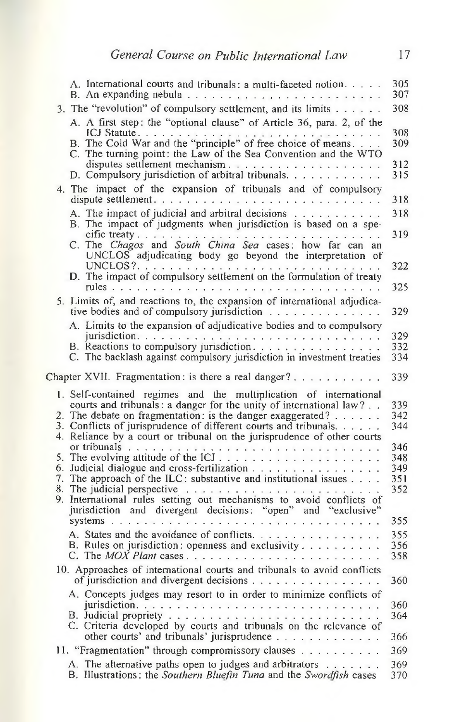|  | A. International courts and tribunals: a multi-faceted notion.<br>B. An expanding nebula $\ldots \ldots \ldots \ldots \ldots \ldots \ldots$                                                                                                                                                                                                                            | 305<br>307        |
|--|------------------------------------------------------------------------------------------------------------------------------------------------------------------------------------------------------------------------------------------------------------------------------------------------------------------------------------------------------------------------|-------------------|
|  | 3. The "revolution" of compulsory settlement, and its limits                                                                                                                                                                                                                                                                                                           | 308               |
|  | A. A first step: the "optional clause" of Article 36, para. 2, of the                                                                                                                                                                                                                                                                                                  |                   |
|  | C. The turning point: the Law of the Sea Convention and the WTO                                                                                                                                                                                                                                                                                                        | 308<br>309        |
|  |                                                                                                                                                                                                                                                                                                                                                                        | 312<br>315        |
|  | 4. The impact of the expansion of tribunals and of compulsory                                                                                                                                                                                                                                                                                                          | 318               |
|  | A. The impact of judicial and arbitral decisions                                                                                                                                                                                                                                                                                                                       | 318               |
|  | B. The impact of judgments when jurisdiction is based on a spe-                                                                                                                                                                                                                                                                                                        | 319               |
|  | C. The Chagos and South China Sea cases: how far can an<br>UNCLOS adjudicating body go beyond the interpretation of                                                                                                                                                                                                                                                    | 322               |
|  | D. The impact of compulsory settlement on the formulation of treaty                                                                                                                                                                                                                                                                                                    | 325               |
|  | 5. Limits of, and reactions to, the expansion of international adjudica-<br>tive bodies and of compulsory jurisdiction $\ldots$ ,                                                                                                                                                                                                                                      | 329               |
|  | A. Limits to the expansion of adjudicative bodies and to compulsory                                                                                                                                                                                                                                                                                                    |                   |
|  |                                                                                                                                                                                                                                                                                                                                                                        | 329               |
|  |                                                                                                                                                                                                                                                                                                                                                                        | 332               |
|  | C. The backlash against compulsory jurisdiction in investment treaties                                                                                                                                                                                                                                                                                                 | 334               |
|  | Chapter XVII. Fragmentation: is there a real danger?                                                                                                                                                                                                                                                                                                                   | 339               |
|  | 1. Self-contained regimes and the multiplication of international<br>courts and tribunals: a danger for the unity of international law?<br>2. The debate on fragmentation: is the danger exaggerated? $\dots$<br>3. Conflicts of jurisprudence of different courts and tribunals. $\dots$ .<br>4. Reliance by a court or tribunal on the jurisprudence of other courts | 339<br>342<br>344 |
|  |                                                                                                                                                                                                                                                                                                                                                                        | 346               |
|  | or tribunals $\ldots$ or $\ldots$ $\ldots$ $\ldots$ $\ldots$ $\ldots$ $\ldots$ $\ldots$ $\ldots$ $\ldots$                                                                                                                                                                                                                                                              | 348               |
|  | 6. Judicial dialogue and cross-fertilization<br>7. The approach of the ILC: substantive and institutional issues                                                                                                                                                                                                                                                       | 349               |
|  | 8. The judicial perspective $\dots \dots \dots \dots \dots \dots$                                                                                                                                                                                                                                                                                                      | 351<br>352        |
|  | 9. International rules setting out mechanisms to avoid conflicts of<br>jurisdiction and divergent decisions: "open" and "exclusive"                                                                                                                                                                                                                                    |                   |
|  |                                                                                                                                                                                                                                                                                                                                                                        | 355               |
|  | A. States and the avoidance of conflicts.                                                                                                                                                                                                                                                                                                                              | 355               |
|  | B. Rules on jurisdiction: openness and exclusivity                                                                                                                                                                                                                                                                                                                     | 356<br>358        |
|  | 10. Approaches of international courts and tribunals to avoid conflicts                                                                                                                                                                                                                                                                                                |                   |
|  | of jurisdiction and divergent decisions                                                                                                                                                                                                                                                                                                                                | 360               |
|  | A. Concepts judges may resort to in order to minimize conflicts of                                                                                                                                                                                                                                                                                                     |                   |
|  |                                                                                                                                                                                                                                                                                                                                                                        | 360<br>364        |
|  | C. Criteria developed by courts and tribunals on the relevance of<br>other courts' and tribunals' jurisprudence $\ldots \ldots \ldots \ldots$                                                                                                                                                                                                                          | 366               |
|  | 11. "Fragmentation" through compromissory clauses                                                                                                                                                                                                                                                                                                                      | 369               |
|  | A. The alternative paths open to judges and arbitrators                                                                                                                                                                                                                                                                                                                | 369               |
|  | B. Illustrations: the Southern Bluefin Tuna and the Swordfish cases                                                                                                                                                                                                                                                                                                    | 370               |